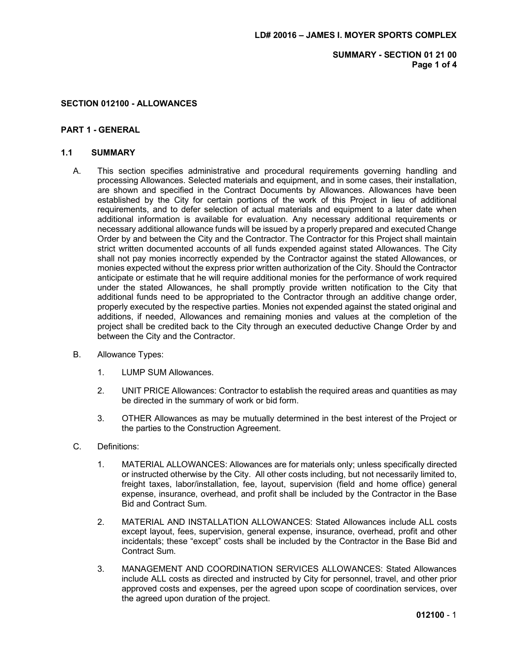SUMMARY - SECTION 01 21 00 Page 1 of 4

### SECTION 012100 - ALLOWANCES

### PART 1 - GENERAL

#### 1.1 SUMMARY

- A. This section specifies administrative and procedural requirements governing handling and processing Allowances. Selected materials and equipment, and in some cases, their installation, are shown and specified in the Contract Documents by Allowances. Allowances have been established by the City for certain portions of the work of this Project in lieu of additional requirements, and to defer selection of actual materials and equipment to a later date when additional information is available for evaluation. Any necessary additional requirements or necessary additional allowance funds will be issued by a properly prepared and executed Change Order by and between the City and the Contractor. The Contractor for this Project shall maintain strict written documented accounts of all funds expended against stated Allowances. The City shall not pay monies incorrectly expended by the Contractor against the stated Allowances, or monies expected without the express prior written authorization of the City. Should the Contractor anticipate or estimate that he will require additional monies for the performance of work required under the stated Allowances, he shall promptly provide written notification to the City that additional funds need to be appropriated to the Contractor through an additive change order, properly executed by the respective parties. Monies not expended against the stated original and additions, if needed, Allowances and remaining monies and values at the completion of the project shall be credited back to the City through an executed deductive Change Order by and between the City and the Contractor.
- B. Allowance Types:
	- 1. LUMP SUM Allowances.
	- 2. UNIT PRICE Allowances: Contractor to establish the required areas and quantities as may be directed in the summary of work or bid form.
	- 3. OTHER Allowances as may be mutually determined in the best interest of the Project or the parties to the Construction Agreement.
- C. Definitions:
	- 1. MATERIAL ALLOWANCES: Allowances are for materials only; unless specifically directed or instructed otherwise by the City. All other costs including, but not necessarily limited to, freight taxes, labor/installation, fee, layout, supervision (field and home office) general expense, insurance, overhead, and profit shall be included by the Contractor in the Base Bid and Contract Sum.
	- 2. MATERIAL AND INSTALLATION ALLOWANCES: Stated Allowances include ALL costs except layout, fees, supervision, general expense, insurance, overhead, profit and other incidentals; these "except" costs shall be included by the Contractor in the Base Bid and Contract Sum.
	- 3. MANAGEMENT AND COORDINATION SERVICES ALLOWANCES: Stated Allowances include ALL costs as directed and instructed by City for personnel, travel, and other prior approved costs and expenses, per the agreed upon scope of coordination services, over the agreed upon duration of the project.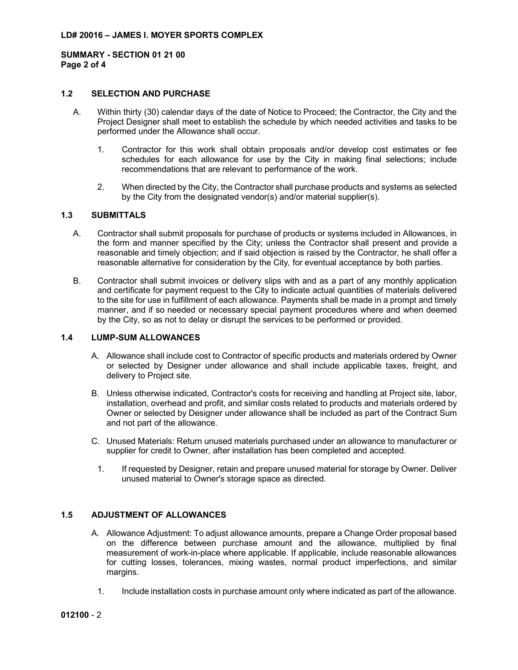SUMMARY - SECTION 01 21 00 Page 2 of 4

# 1.2 SELECTION AND PURCHASE

- A. Within thirty (30) calendar days of the date of Notice to Proceed; the Contractor, the City and the Project Designer shall meet to establish the schedule by which needed activities and tasks to be performed under the Allowance shall occur.
	- 1. Contractor for this work shall obtain proposals and/or develop cost estimates or fee schedules for each allowance for use by the City in making final selections; include recommendations that are relevant to performance of the work.
	- 2. When directed by the City, the Contractor shall purchase products and systems as selected by the City from the designated vendor(s) and/or material supplier(s).

## 1.3 SUBMITTALS

- A. Contractor shall submit proposals for purchase of products or systems included in Allowances, in the form and manner specified by the City; unless the Contractor shall present and provide a reasonable and timely objection; and if said objection is raised by the Contractor, he shall offer a reasonable alternative for consideration by the City, for eventual acceptance by both parties.
- B. Contractor shall submit invoices or delivery slips with and as a part of any monthly application and certificate for payment request to the City to indicate actual quantities of materials delivered to the site for use in fulfillment of each allowance. Payments shall be made in a prompt and timely manner, and if so needed or necessary special payment procedures where and when deemed by the City, so as not to delay or disrupt the services to be performed or provided.

#### 1.4 LUMP-SUM ALLOWANCES

- A. Allowance shall include cost to Contractor of specific products and materials ordered by Owner or selected by Designer under allowance and shall include applicable taxes, freight, and delivery to Project site.
- B. Unless otherwise indicated, Contractor's costs for receiving and handling at Project site, labor, installation, overhead and profit, and similar costs related to products and materials ordered by Owner or selected by Designer under allowance shall be included as part of the Contract Sum and not part of the allowance.
- C. Unused Materials: Return unused materials purchased under an allowance to manufacturer or supplier for credit to Owner, after installation has been completed and accepted.
	- 1. If requested by Designer, retain and prepare unused material for storage by Owner. Deliver unused material to Owner's storage space as directed.

### 1.5 ADJUSTMENT OF ALLOWANCES

- A. Allowance Adjustment: To adjust allowance amounts, prepare a Change Order proposal based on the difference between purchase amount and the allowance, multiplied by final measurement of work-in-place where applicable. If applicable, include reasonable allowances for cutting losses, tolerances, mixing wastes, normal product imperfections, and similar margins.
	- 1. Include installation costs in purchase amount only where indicated as part of the allowance.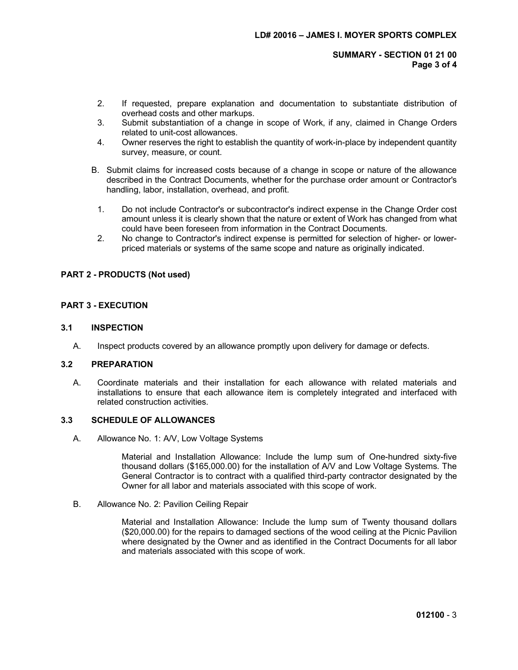SUMMARY - SECTION 01 21 00 Page 3 of 4

- 2. If requested, prepare explanation and documentation to substantiate distribution of overhead costs and other markups.
- 3. Submit substantiation of a change in scope of Work, if any, claimed in Change Orders related to unit-cost allowances.
- 4. Owner reserves the right to establish the quantity of work-in-place by independent quantity survey, measure, or count.
- B. Submit claims for increased costs because of a change in scope or nature of the allowance described in the Contract Documents, whether for the purchase order amount or Contractor's handling, labor, installation, overhead, and profit.
	- 1. Do not include Contractor's or subcontractor's indirect expense in the Change Order cost amount unless it is clearly shown that the nature or extent of Work has changed from what could have been foreseen from information in the Contract Documents.
- 2. No change to Contractor's indirect expense is permitted for selection of higher- or lowerpriced materials or systems of the same scope and nature as originally indicated.

### PART 2 - PRODUCTS (Not used)

### PART 3 - EXECUTION

#### 3.1 INSPECTION

A. Inspect products covered by an allowance promptly upon delivery for damage or defects.

#### 3.2 PREPARATION

A. Coordinate materials and their installation for each allowance with related materials and installations to ensure that each allowance item is completely integrated and interfaced with related construction activities.

## 3.3 SCHEDULE OF ALLOWANCES

A. Allowance No. 1: A/V, Low Voltage Systems

Material and Installation Allowance: Include the lump sum of One-hundred sixty-five thousand dollars (\$165,000.00) for the installation of A/V and Low Voltage Systems. The General Contractor is to contract with a qualified third-party contractor designated by the Owner for all labor and materials associated with this scope of work.

B. Allowance No. 2: Pavilion Ceiling Repair

Material and Installation Allowance: Include the lump sum of Twenty thousand dollars (\$20,000.00) for the repairs to damaged sections of the wood ceiling at the Picnic Pavilion where designated by the Owner and as identified in the Contract Documents for all labor and materials associated with this scope of work.